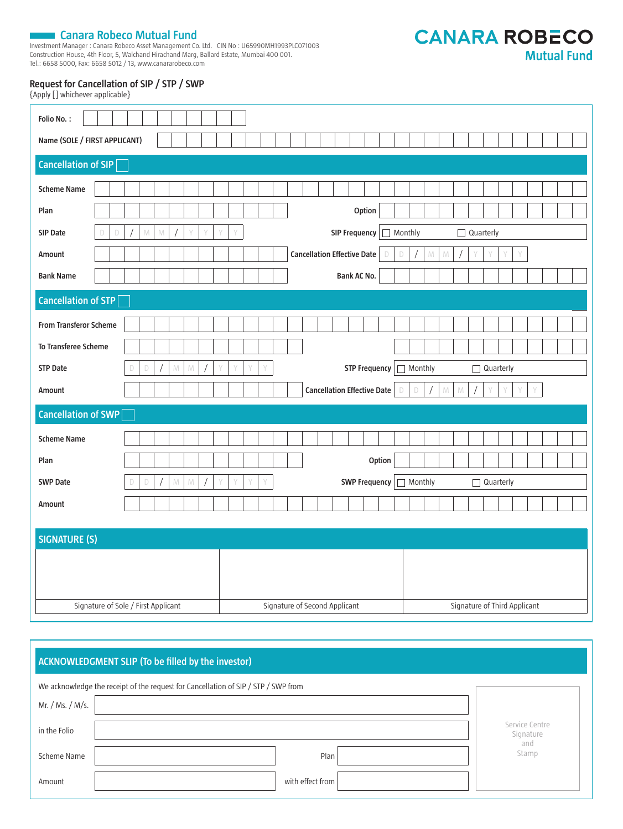**TANARA Canara Robeco Mutual Fund**<br>Investment Manager : Canara Robeco Asset Management Co. Ltd. CIN No : U65990MH1993PLC071003 Construction House, 4th Floor, 5, Walchand Hirachand Marg, Ballard Estate, Mumbai 400 001. Tel.: 6658 5000, Fax: 6658 5012 / 13, www.canararobeco.com

**CANARA ROBECO Mutual Fund** 

## **Request for Cancellation of SIP / STP / SWP**

{Apply [] whichever applicable}

| Folio No.:                    |                                                                                                       |  |  |  |
|-------------------------------|-------------------------------------------------------------------------------------------------------|--|--|--|
| Name (SOLE / FIRST APPLICANT) |                                                                                                       |  |  |  |
| Cancellation of SIP           |                                                                                                       |  |  |  |
| <b>Scheme Name</b>            |                                                                                                       |  |  |  |
| Plan                          | Option                                                                                                |  |  |  |
| SIP Date<br>D<br>D            | SIP Frequency<br>Monthly<br>$\mathbb N$<br>${\mathbb N}$<br>Y<br>Quarterly<br>П                       |  |  |  |
| Amount                        | <b>Cancellation Effective Date</b><br>$\mathsf D$<br>M<br>${\mathbb M}$<br>Y<br>D                     |  |  |  |
| <b>Bank Name</b>              | Bank AC No.                                                                                           |  |  |  |
| Cancellation of STP           |                                                                                                       |  |  |  |
|                               |                                                                                                       |  |  |  |
| <b>From Transferor Scheme</b> |                                                                                                       |  |  |  |
| To Transferee Scheme          |                                                                                                       |  |  |  |
| <b>STP Date</b>               | Y<br><b>STP Frequency</b><br>Monthly<br>Quarterly<br>$\mathbb N$<br>$\mathbb D$<br>M<br>V<br>Y<br>D   |  |  |  |
| Amount                        | <b>Cancellation Effective Date</b><br>$\mathbb D$<br>$\mathbb N$<br>$\mathcal{N}$<br>Y<br>$\Box$<br>Y |  |  |  |
| Cancellation of SWP           |                                                                                                       |  |  |  |
| <b>Scheme Name</b>            |                                                                                                       |  |  |  |
| Plan                          | Option                                                                                                |  |  |  |
| <b>SWP Date</b>               | <b>SWP Frequency</b><br>Monthly<br>D<br>M<br>Y<br>$\Box$<br>Quarterly<br>M<br>$\Box$                  |  |  |  |
| Amount                        |                                                                                                       |  |  |  |
|                               |                                                                                                       |  |  |  |
| <b>SIGNATURE (S)</b>          |                                                                                                       |  |  |  |
|                               |                                                                                                       |  |  |  |
|                               |                                                                                                       |  |  |  |
|                               |                                                                                                       |  |  |  |
|                               | Signature of Sole / First Applicant<br>Signature of Second Applicant<br>Signature of Third Applicant  |  |  |  |

| ACKNOWLED GMENT SLIP (To be filled by the investor)                                |                  |              |  |
|------------------------------------------------------------------------------------|------------------|--------------|--|
| We acknowledge the receipt of the request for Cancellation of SIP / STP / SWP from |                  |              |  |
| Mr. / Ms. / M/s.                                                                   |                  |              |  |
| in the Folio                                                                       |                  |              |  |
| Scheme Name                                                                        | Plan             | and<br>Stamp |  |
| Amount                                                                             | with effect from |              |  |